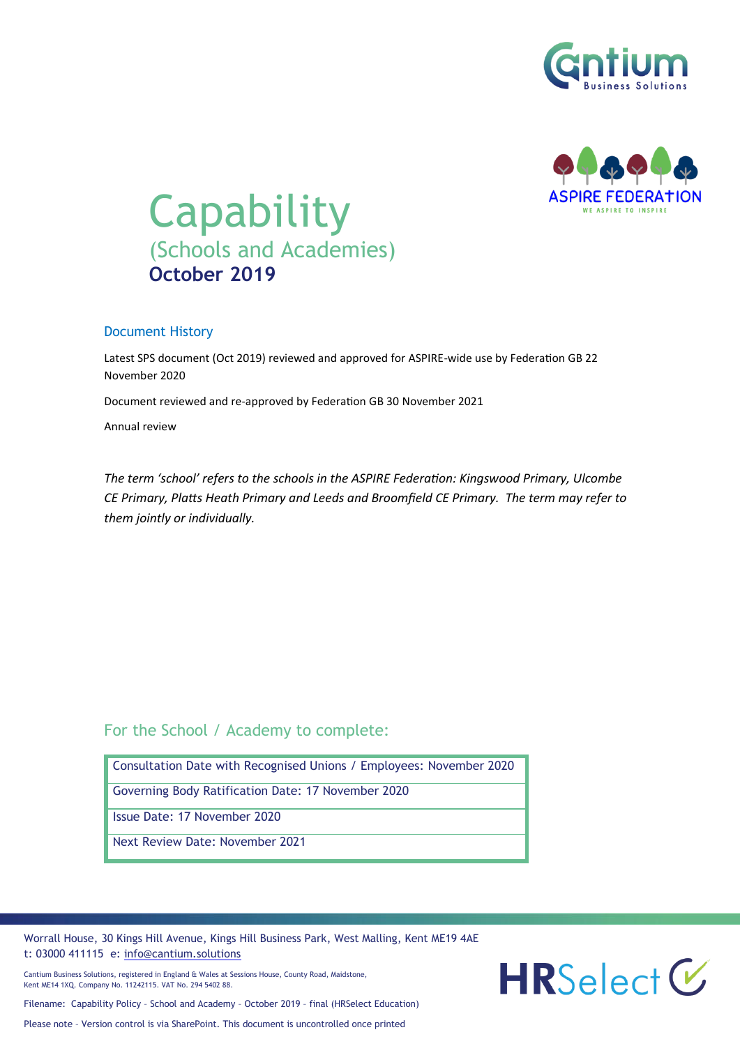



# **Capability** (Schools and Academies) **October 2019**

#### Document History

Latest SPS document (Oct 2019) reviewed and approved for ASPIRE-wide use by Federation GB 22 November 2020

Document reviewed and re-approved by Federation GB 30 November 2021

Annual review

*The term 'school' refers to the schools in the ASPIRE Federation: Kingswood Primary, Ulcombe CE Primary, Platts Heath Primary and Leeds and Broomfield CE Primary. The term may refer to them jointly or individually.*

### For the School / Academy to complete:

| Consultation Date with Recognised Unions / Employees: November 2020 |
|---------------------------------------------------------------------|
| Governing Body Ratification Date: 17 November 2020                  |
| Issue Date: 17 November 2020                                        |
| Next Review Date: November 2021                                     |

Worrall House, 30 Kings Hill Avenue, Kings Hill Business Park, West Malling, Kent ME19 4AE t: 03000 411115 e: [info@cantium.solutions](mailto:info@cantium.solutions)

Cantium Business Solutions, registered in England & Wales at Sessions House, County Road, Maidstone, Kent ME14 1XQ. Company No. 11242115. VAT No. 294 5402 88.

 $HRSelect \mathcal{C}$ 

Filename: Capability Policy – School and Academy – October 2019 – final (HRSelect Education)

Please note – Version control is via SharePoint. This document is uncontrolled once printed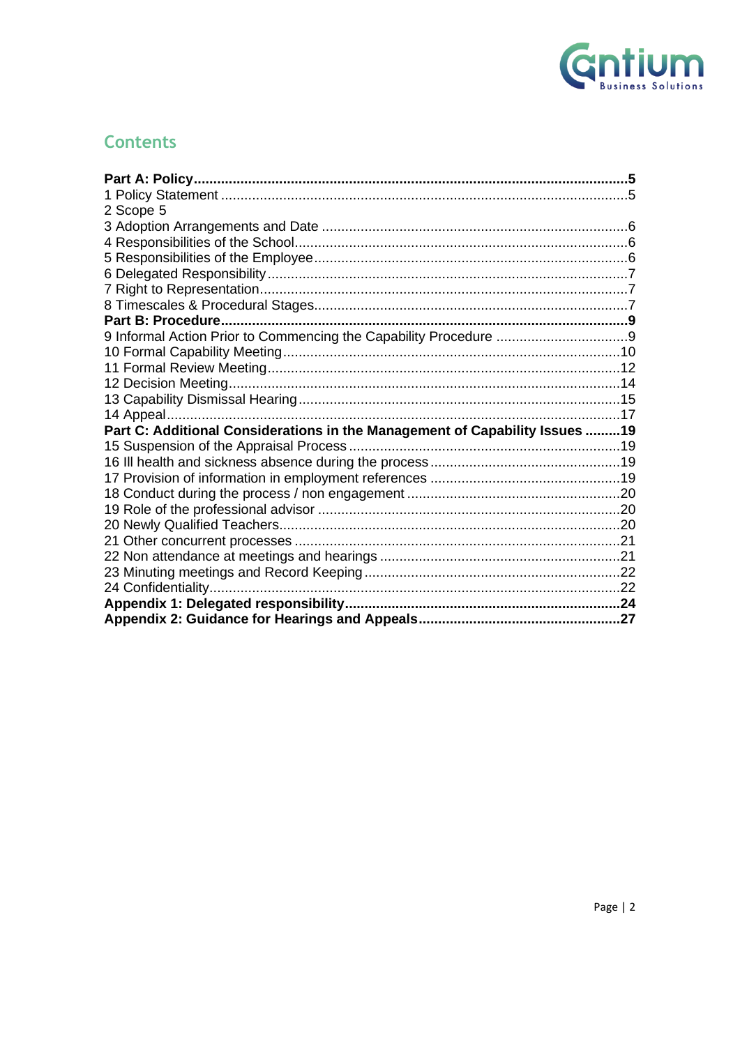

## **Contents**

| 2 Scope 5                                                                   |  |
|-----------------------------------------------------------------------------|--|
|                                                                             |  |
|                                                                             |  |
|                                                                             |  |
|                                                                             |  |
|                                                                             |  |
|                                                                             |  |
|                                                                             |  |
|                                                                             |  |
|                                                                             |  |
|                                                                             |  |
|                                                                             |  |
|                                                                             |  |
|                                                                             |  |
| Part C: Additional Considerations in the Management of Capability Issues 19 |  |
|                                                                             |  |
|                                                                             |  |
|                                                                             |  |
|                                                                             |  |
|                                                                             |  |
|                                                                             |  |
|                                                                             |  |
|                                                                             |  |
|                                                                             |  |
|                                                                             |  |
|                                                                             |  |
|                                                                             |  |
|                                                                             |  |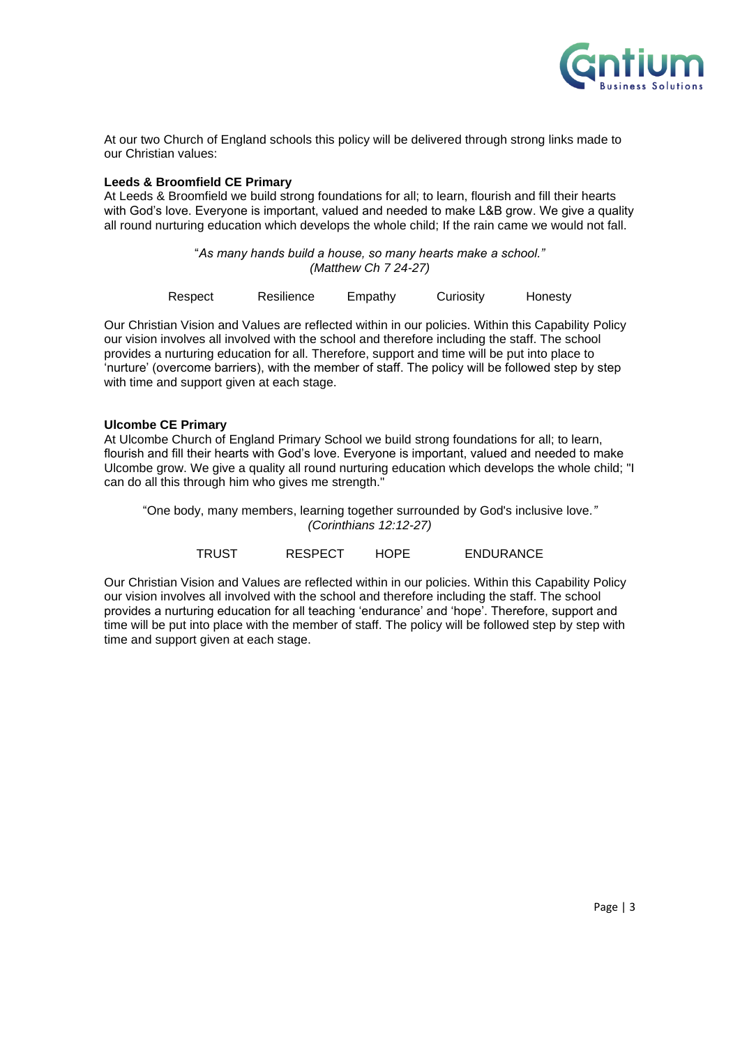

At our two Church of England schools this policy will be delivered through strong links made to our Christian values:

#### **Leeds & Broomfield CE Primary**

At Leeds & Broomfield we build strong foundations for all; to learn, flourish and fill their hearts with God's love. Everyone is important, valued and needed to make L&B grow. We give a quality all round nurturing education which develops the whole child; If the rain came we would not fall.

> "*As many hands build a house, so many hearts make a school." (Matthew Ch 7 24-27)*

| Respect<br>Empathy<br>Curiosity<br>Resilience | Honesty |
|-----------------------------------------------|---------|
|-----------------------------------------------|---------|

Our Christian Vision and Values are reflected within in our policies. Within this Capability Policy our vision involves all involved with the school and therefore including the staff. The school provides a nurturing education for all. Therefore, support and time will be put into place to 'nurture' (overcome barriers), with the member of staff. The policy will be followed step by step with time and support given at each stage.

#### **Ulcombe CE Primary**

At Ulcombe Church of England Primary School we build strong foundations for all; to learn, flourish and fill their hearts with God's love. Everyone is important, valued and needed to make Ulcombe grow. We give a quality all round nurturing education which develops the whole child; "I can do all this through him who gives me strength."

"One body, many members, learning together surrounded by God's inclusive love*." (Corinthians 12:12-27)*

| TRUST | <b>RESPECT</b> | HOPE | <b>ENDURANCE</b> |
|-------|----------------|------|------------------|
|       |                |      |                  |

Our Christian Vision and Values are reflected within in our policies. Within this Capability Policy our vision involves all involved with the school and therefore including the staff. The school provides a nurturing education for all teaching 'endurance' and 'hope'. Therefore, support and time will be put into place with the member of staff. The policy will be followed step by step with time and support given at each stage.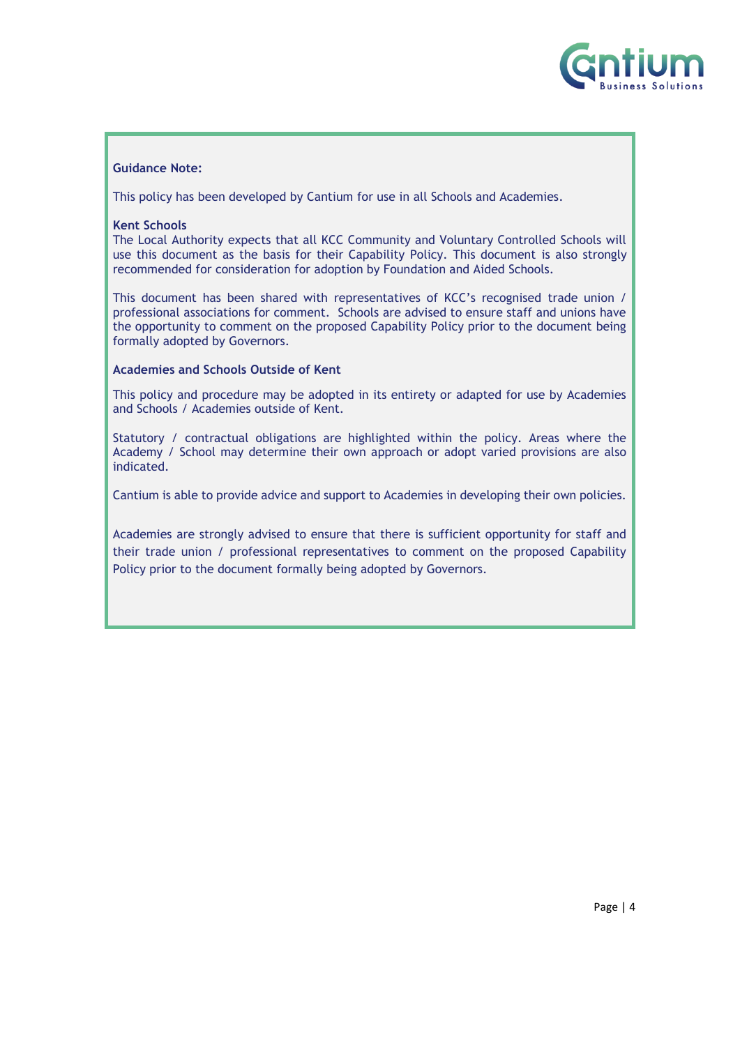

#### **Guidance Note:**

This policy has been developed by Cantium for use in all Schools and Academies.

#### **Kent Schools**

The Local Authority expects that all KCC Community and Voluntary Controlled Schools will use this document as the basis for their Capability Policy. This document is also strongly recommended for consideration for adoption by Foundation and Aided Schools.

This document has been shared with representatives of KCC's recognised trade union / professional associations for comment. Schools are advised to ensure staff and unions have the opportunity to comment on the proposed Capability Policy prior to the document being formally adopted by Governors.

#### **Academies and Schools Outside of Kent**

This policy and procedure may be adopted in its entirety or adapted for use by Academies and Schools / Academies outside of Kent.

Statutory / contractual obligations are highlighted within the policy. Areas where the Academy / School may determine their own approach or adopt varied provisions are also indicated.

Cantium is able to provide advice and support to Academies in developing their own policies.

Academies are strongly advised to ensure that there is sufficient opportunity for staff and their trade union / professional representatives to comment on the proposed Capability Policy prior to the document formally being adopted by Governors.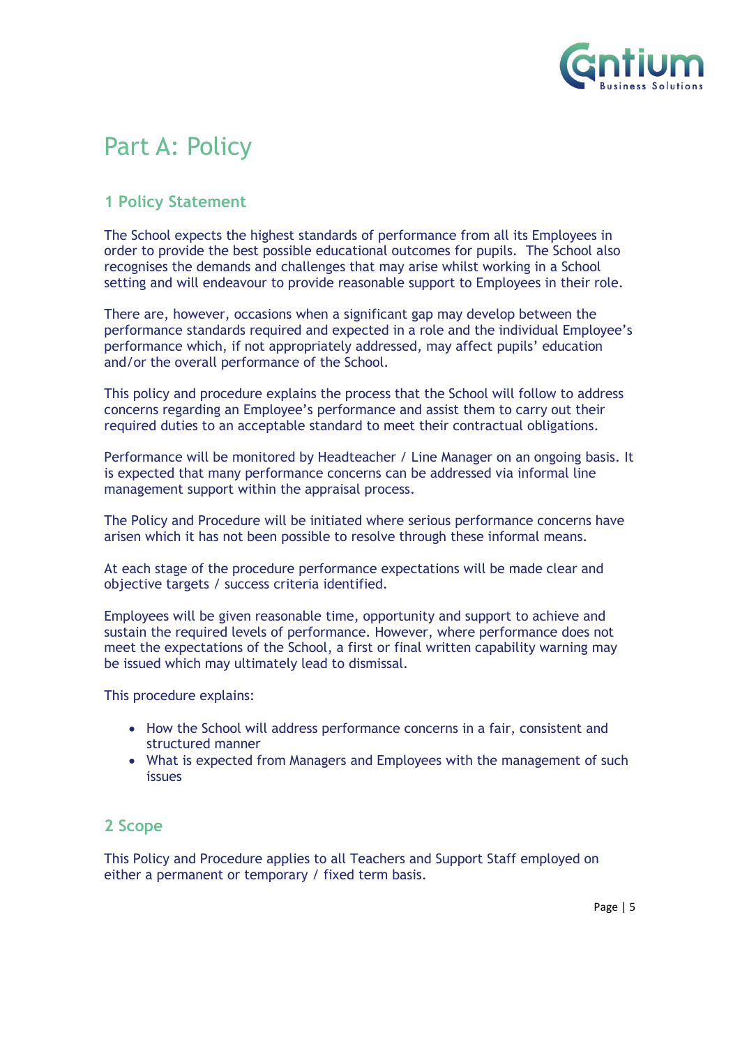

## <span id="page-4-0"></span>Part A: Policy

## <span id="page-4-1"></span>**1 Policy Statement**

The School expects the highest standards of performance from all its Employees in order to provide the best possible educational outcomes for pupils. The School also recognises the demands and challenges that may arise whilst working in a School setting and will endeavour to provide reasonable support to Employees in their role.

There are, however, occasions when a significant gap may develop between the performance standards required and expected in a role and the individual Employee's performance which, if not appropriately addressed, may affect pupils' education and/or the overall performance of the School.

This policy and procedure explains the process that the School will follow to address concerns regarding an Employee's performance and assist them to carry out their required duties to an acceptable standard to meet their contractual obligations.

Performance will be monitored by Headteacher / Line Manager on an ongoing basis. It is expected that many performance concerns can be addressed via informal line management support within the appraisal process.

The Policy and Procedure will be initiated where serious performance concerns have arisen which it has not been possible to resolve through these informal means.

At each stage of the procedure performance expectations will be made clear and objective targets / success criteria identified.

Employees will be given reasonable time, opportunity and support to achieve and sustain the required levels of performance. However, where performance does not meet the expectations of the School, a first or final written capability warning may be issued which may ultimately lead to dismissal.

This procedure explains:

- How the School will address performance concerns in a fair, consistent and structured manner
- What is expected from Managers and Employees with the management of such issues

#### <span id="page-4-2"></span>**2 Scope**

This Policy and Procedure applies to all Teachers and Support Staff employed on either a permanent or temporary / fixed term basis.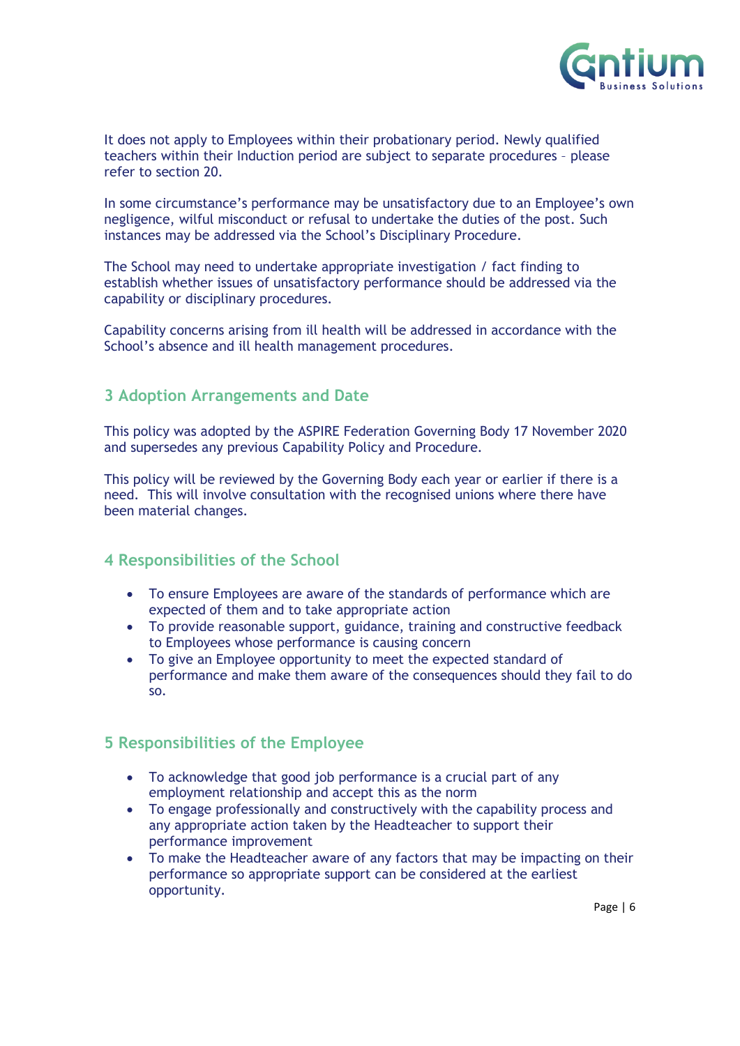

It does not apply to Employees within their probationary period. Newly qualified teachers within their Induction period are subject to separate procedures – please refer to section 20.

In some circumstance's performance may be unsatisfactory due to an Employee's own negligence, wilful misconduct or refusal to undertake the duties of the post. Such instances may be addressed via the School's Disciplinary Procedure.

The School may need to undertake appropriate investigation / fact finding to establish whether issues of unsatisfactory performance should be addressed via the capability or disciplinary procedures.

Capability concerns arising from ill health will be addressed in accordance with the School's absence and ill health management procedures.

#### <span id="page-5-0"></span>**3 Adoption Arrangements and Date**

This policy was adopted by the ASPIRE Federation Governing Body 17 November 2020 and supersedes any previous Capability Policy and Procedure.

This policy will be reviewed by the Governing Body each year or earlier if there is a need. This will involve consultation with the recognised unions where there have been material changes.

### <span id="page-5-1"></span>**4 Responsibilities of the School**

- To ensure Employees are aware of the standards of performance which are expected of them and to take appropriate action
- To provide reasonable support, guidance, training and constructive feedback to Employees whose performance is causing concern
- To give an Employee opportunity to meet the expected standard of performance and make them aware of the consequences should they fail to do so.

### <span id="page-5-2"></span>**5 Responsibilities of the Employee**

- To acknowledge that good job performance is a crucial part of any employment relationship and accept this as the norm
- To engage professionally and constructively with the capability process and any appropriate action taken by the Headteacher to support their performance improvement
- To make the Headteacher aware of any factors that may be impacting on their performance so appropriate support can be considered at the earliest opportunity.

Page | 6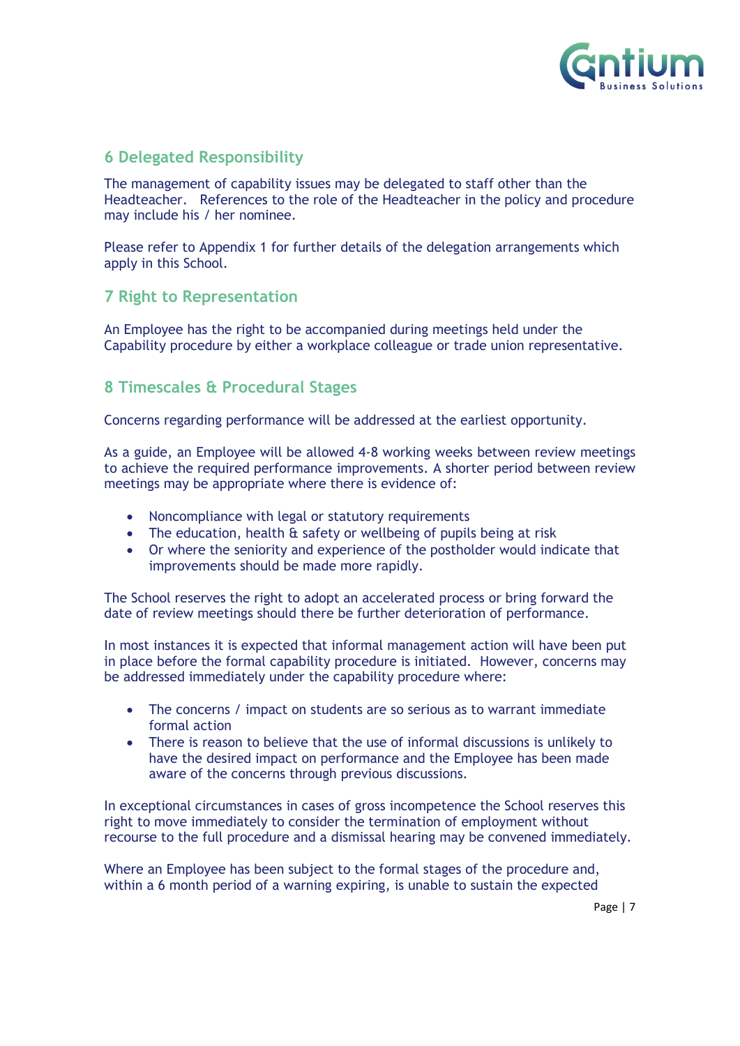

## <span id="page-6-0"></span>**6 Delegated Responsibility**

The management of capability issues may be delegated to staff other than the Headteacher. References to the role of the Headteacher in the policy and procedure may include his / her nominee.

Please refer to Appendix 1 for further details of the delegation arrangements which apply in this School.

### <span id="page-6-1"></span>**7 Right to Representation**

An Employee has the right to be accompanied during meetings held under the Capability procedure by either a workplace colleague or trade union representative.

## <span id="page-6-2"></span>**8 Timescales & Procedural Stages**

Concerns regarding performance will be addressed at the earliest opportunity.

As a guide, an Employee will be allowed 4-8 working weeks between review meetings to achieve the required performance improvements. A shorter period between review meetings may be appropriate where there is evidence of:

- Noncompliance with legal or statutory requirements
- The education, health & safety or wellbeing of pupils being at risk
- Or where the seniority and experience of the postholder would indicate that improvements should be made more rapidly.

The School reserves the right to adopt an accelerated process or bring forward the date of review meetings should there be further deterioration of performance.

In most instances it is expected that informal management action will have been put in place before the formal capability procedure is initiated. However, concerns may be addressed immediately under the capability procedure where:

- The concerns / impact on students are so serious as to warrant immediate formal action
- There is reason to believe that the use of informal discussions is unlikely to have the desired impact on performance and the Employee has been made aware of the concerns through previous discussions.

In exceptional circumstances in cases of gross incompetence the School reserves this right to move immediately to consider the termination of employment without recourse to the full procedure and a dismissal hearing may be convened immediately.

Where an Employee has been subject to the formal stages of the procedure and, within a 6 month period of a warning expiring, is unable to sustain the expected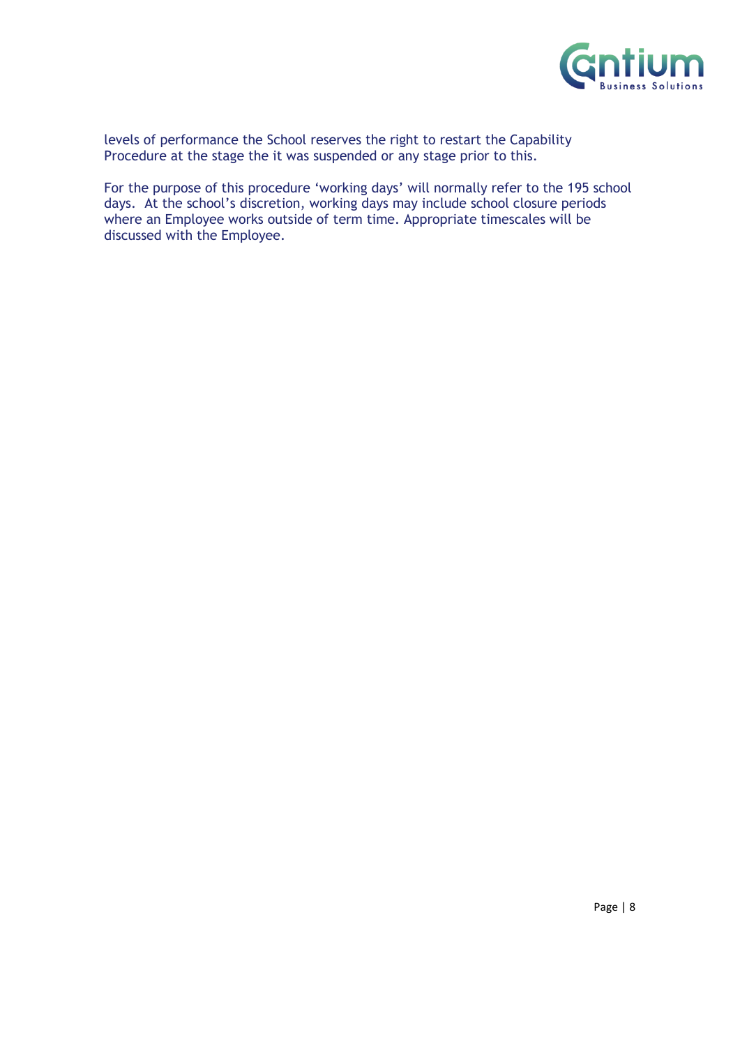

levels of performance the School reserves the right to restart the Capability Procedure at the stage the it was suspended or any stage prior to this.

For the purpose of this procedure 'working days' will normally refer to the 195 school days. At the school's discretion, working days may include school closure periods where an Employee works outside of term time. Appropriate timescales will be discussed with the Employee.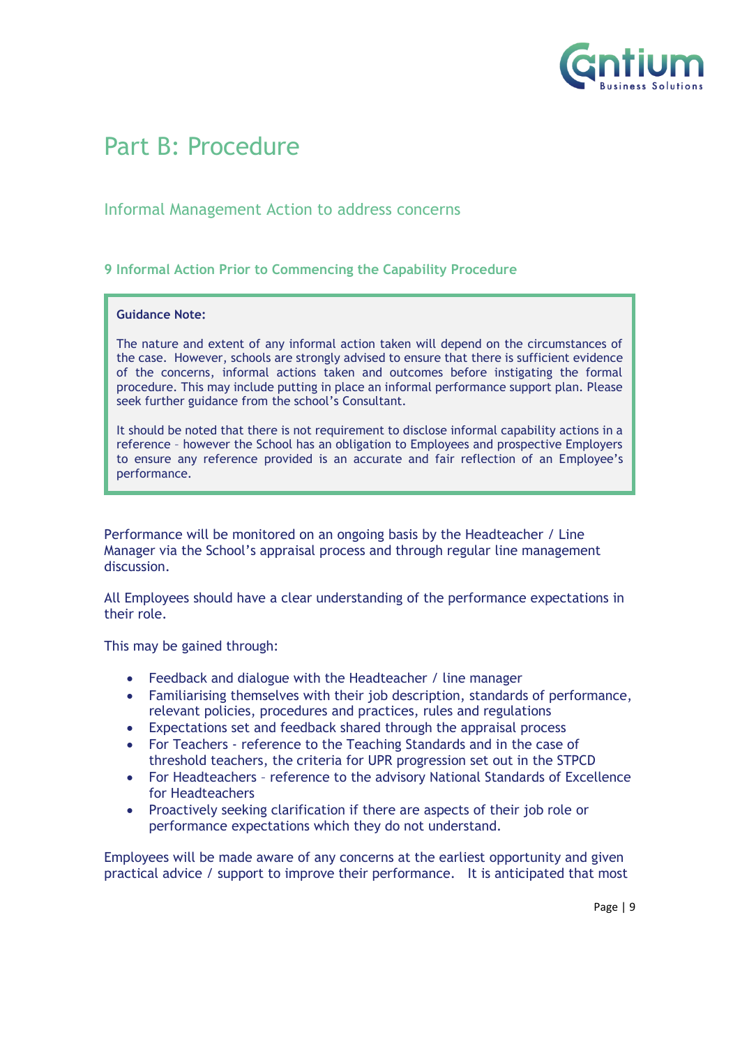

## <span id="page-8-0"></span>Part B: Procedure

## Informal Management Action to address concerns

#### <span id="page-8-1"></span>**9 Informal Action Prior to Commencing the Capability Procedure**

#### **Guidance Note:**

The nature and extent of any informal action taken will depend on the circumstances of the case. However, schools are strongly advised to ensure that there is sufficient evidence of the concerns, informal actions taken and outcomes before instigating the formal procedure. This may include putting in place an informal performance support plan. Please seek further guidance from the school's Consultant.

It should be noted that there is not requirement to disclose informal capability actions in a reference – however the School has an obligation to Employees and prospective Employers to ensure any reference provided is an accurate and fair reflection of an Employee's performance.

Performance will be monitored on an ongoing basis by the Headteacher / Line Manager via the School's appraisal process and through regular line management discussion.

All Employees should have a clear understanding of the performance expectations in their role.

This may be gained through:

- Feedback and dialogue with the Headteacher / line manager
- Familiarising themselves with their job description, standards of performance, relevant policies, procedures and practices, rules and regulations
- Expectations set and feedback shared through the appraisal process
- For Teachers reference to the Teaching Standards and in the case of threshold teachers, the criteria for UPR progression set out in the STPCD
- For Headteachers reference to the advisory National Standards of Excellence for Headteachers
- Proactively seeking clarification if there are aspects of their job role or performance expectations which they do not understand.

Employees will be made aware of any concerns at the earliest opportunity and given practical advice / support to improve their performance. It is anticipated that most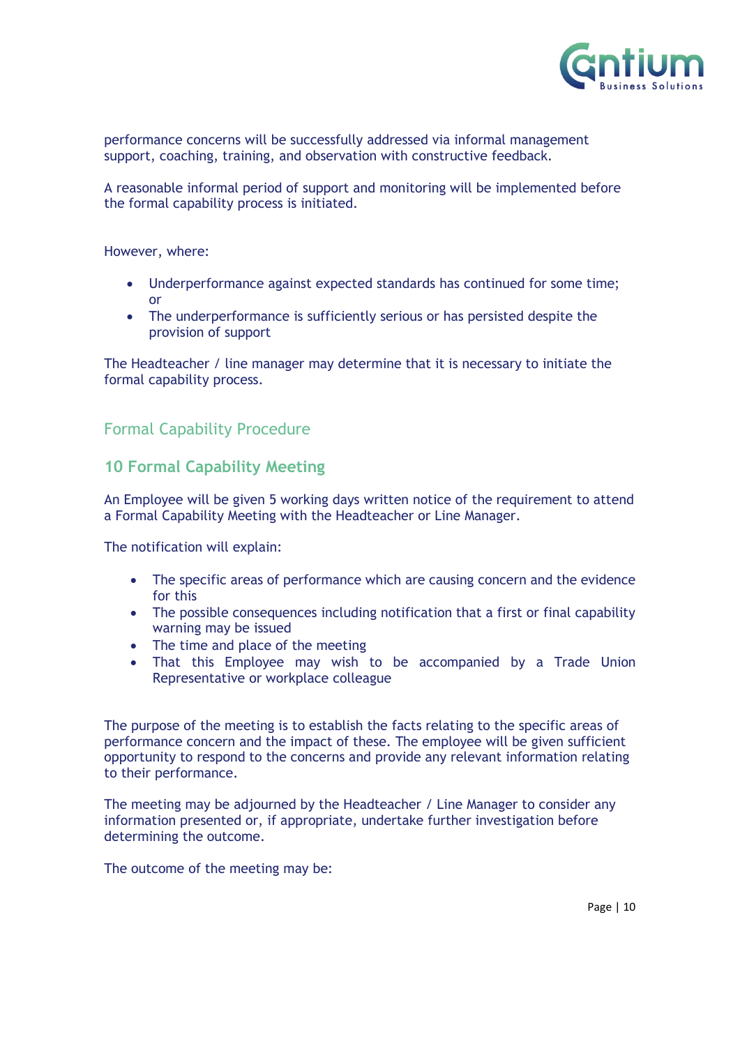

performance concerns will be successfully addressed via informal management support, coaching, training, and observation with constructive feedback.

A reasonable informal period of support and monitoring will be implemented before the formal capability process is initiated.

However, where:

- Underperformance against expected standards has continued for some time; or
- The underperformance is sufficiently serious or has persisted despite the provision of support

The Headteacher / line manager may determine that it is necessary to initiate the formal capability process.

Formal Capability Procedure

## <span id="page-9-0"></span>**10 Formal Capability Meeting**

An Employee will be given 5 working days written notice of the requirement to attend a Formal Capability Meeting with the Headteacher or Line Manager.

The notification will explain:

- The specific areas of performance which are causing concern and the evidence for this
- The possible consequences including notification that a first or final capability warning may be issued
- The time and place of the meeting
- That this Employee may wish to be accompanied by a Trade Union Representative or workplace colleague

The purpose of the meeting is to establish the facts relating to the specific areas of performance concern and the impact of these. The employee will be given sufficient opportunity to respond to the concerns and provide any relevant information relating to their performance.

The meeting may be adjourned by the Headteacher / Line Manager to consider any information presented or, if appropriate, undertake further investigation before determining the outcome.

The outcome of the meeting may be: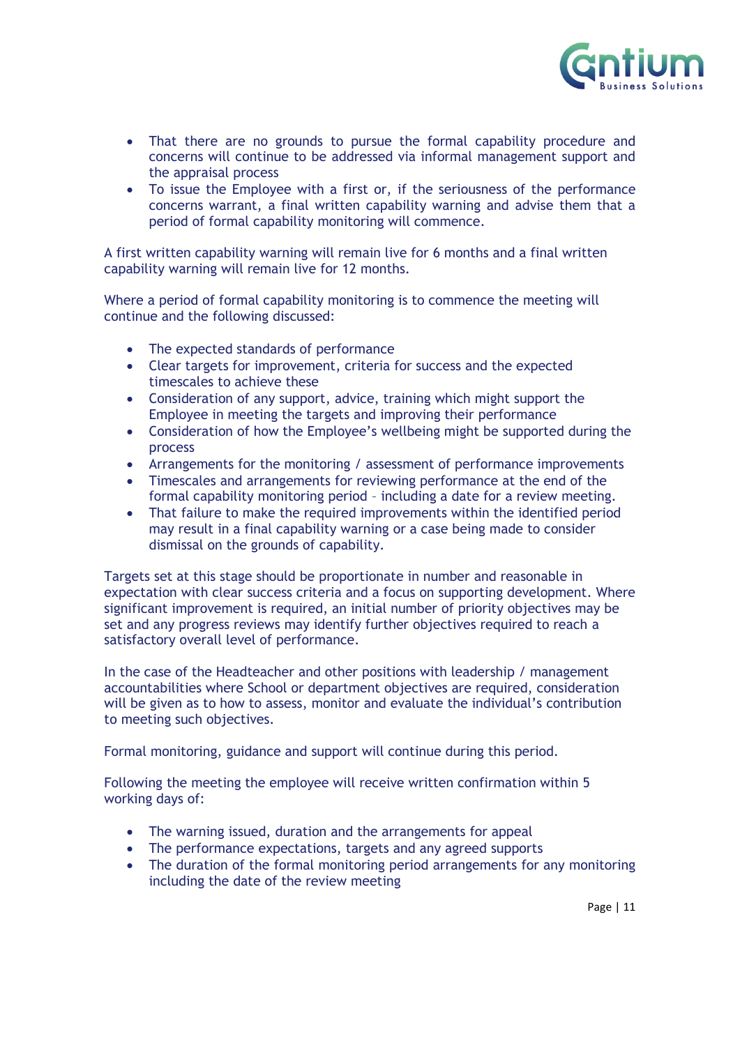

- That there are no grounds to pursue the formal capability procedure and concerns will continue to be addressed via informal management support and the appraisal process
- To issue the Employee with a first or, if the seriousness of the performance concerns warrant, a final written capability warning and advise them that a period of formal capability monitoring will commence.

A first written capability warning will remain live for 6 months and a final written capability warning will remain live for 12 months.

Where a period of formal capability monitoring is to commence the meeting will continue and the following discussed:

- The expected standards of performance
- Clear targets for improvement, criteria for success and the expected timescales to achieve these
- Consideration of any support, advice, training which might support the Employee in meeting the targets and improving their performance
- Consideration of how the Employee's wellbeing might be supported during the process
- Arrangements for the monitoring / assessment of performance improvements
- Timescales and arrangements for reviewing performance at the end of the formal capability monitoring period – including a date for a review meeting.
- That failure to make the required improvements within the identified period may result in a final capability warning or a case being made to consider dismissal on the grounds of capability.

Targets set at this stage should be proportionate in number and reasonable in expectation with clear success criteria and a focus on supporting development. Where significant improvement is required, an initial number of priority objectives may be set and any progress reviews may identify further objectives required to reach a satisfactory overall level of performance.

In the case of the Headteacher and other positions with leadership / management accountabilities where School or department objectives are required, consideration will be given as to how to assess, monitor and evaluate the individual's contribution to meeting such objectives.

Formal monitoring, guidance and support will continue during this period.

Following the meeting the employee will receive written confirmation within 5 working days of:

- The warning issued, duration and the arrangements for appeal
- The performance expectations, targets and any agreed supports
- The duration of the formal monitoring period arrangements for any monitoring including the date of the review meeting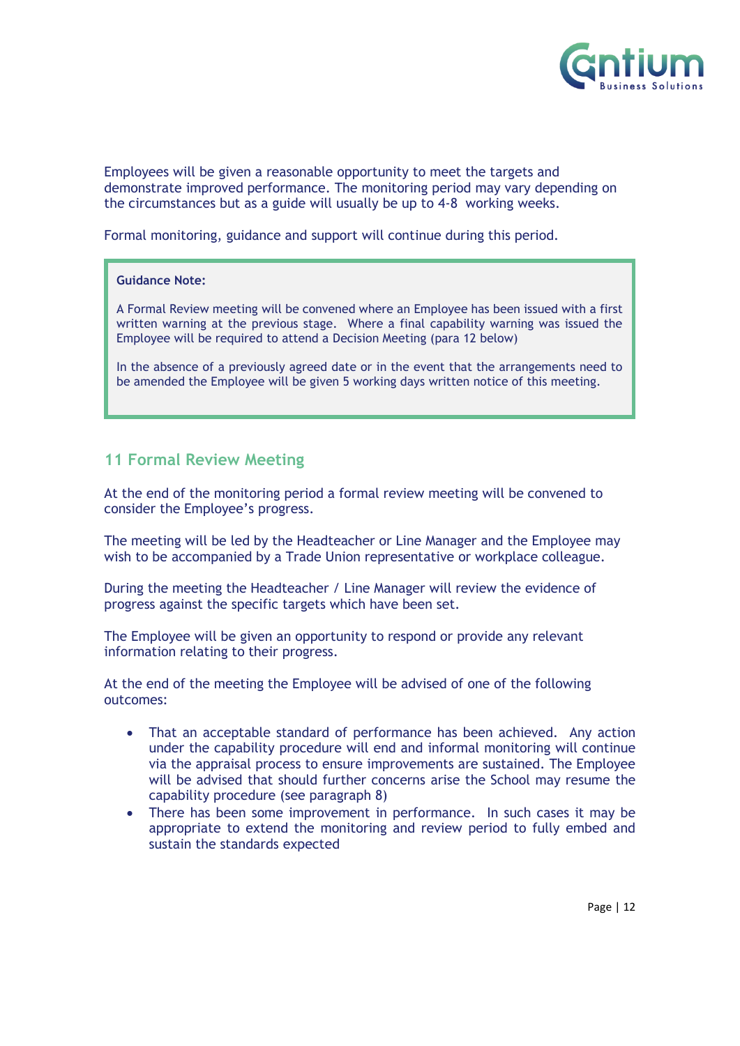

Employees will be given a reasonable opportunity to meet the targets and demonstrate improved performance. The monitoring period may vary depending on the circumstances but as a guide will usually be up to 4-8 working weeks.

Formal monitoring, guidance and support will continue during this period.

#### **Guidance Note:**

A Formal Review meeting will be convened where an Employee has been issued with a first written warning at the previous stage. Where a final capability warning was issued the Employee will be required to attend a Decision Meeting (para 12 below)

In the absence of a previously agreed date or in the event that the arrangements need to be amended the Employee will be given 5 working days written notice of this meeting.

### <span id="page-11-0"></span>**11 Formal Review Meeting**

At the end of the monitoring period a formal review meeting will be convened to consider the Employee's progress.

The meeting will be led by the Headteacher or Line Manager and the Employee may wish to be accompanied by a Trade Union representative or workplace colleague.

During the meeting the Headteacher / Line Manager will review the evidence of progress against the specific targets which have been set.

The Employee will be given an opportunity to respond or provide any relevant information relating to their progress.

At the end of the meeting the Employee will be advised of one of the following outcomes:

- That an acceptable standard of performance has been achieved. Any action under the capability procedure will end and informal monitoring will continue via the appraisal process to ensure improvements are sustained. The Employee will be advised that should further concerns arise the School may resume the capability procedure (see paragraph 8)
- There has been some improvement in performance. In such cases it may be appropriate to extend the monitoring and review period to fully embed and sustain the standards expected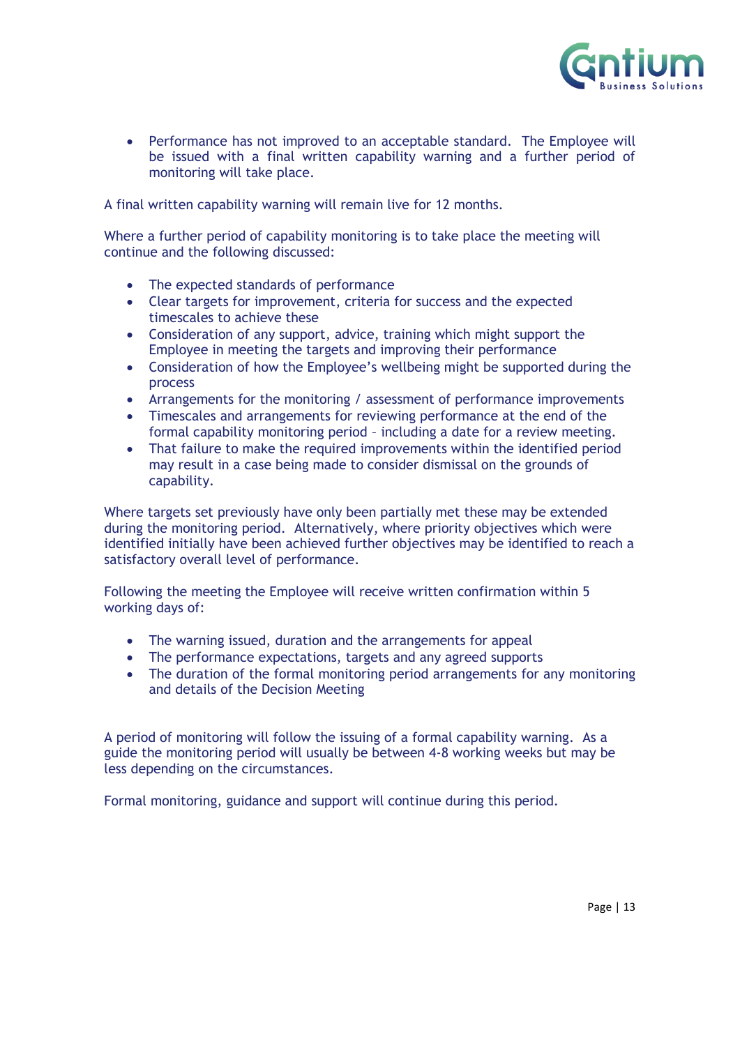

• Performance has not improved to an acceptable standard. The Employee will be issued with a final written capability warning and a further period of monitoring will take place.

A final written capability warning will remain live for 12 months.

Where a further period of capability monitoring is to take place the meeting will continue and the following discussed:

- The expected standards of performance
- Clear targets for improvement, criteria for success and the expected timescales to achieve these
- Consideration of any support, advice, training which might support the Employee in meeting the targets and improving their performance
- Consideration of how the Employee's wellbeing might be supported during the process
- Arrangements for the monitoring / assessment of performance improvements
- Timescales and arrangements for reviewing performance at the end of the formal capability monitoring period – including a date for a review meeting.
- That failure to make the required improvements within the identified period may result in a case being made to consider dismissal on the grounds of capability.

Where targets set previously have only been partially met these may be extended during the monitoring period. Alternatively, where priority objectives which were identified initially have been achieved further objectives may be identified to reach a satisfactory overall level of performance.

Following the meeting the Employee will receive written confirmation within 5 working days of:

- The warning issued, duration and the arrangements for appeal
- The performance expectations, targets and any agreed supports
- The duration of the formal monitoring period arrangements for any monitoring and details of the Decision Meeting

A period of monitoring will follow the issuing of a formal capability warning. As a guide the monitoring period will usually be between 4-8 working weeks but may be less depending on the circumstances.

Formal monitoring, guidance and support will continue during this period.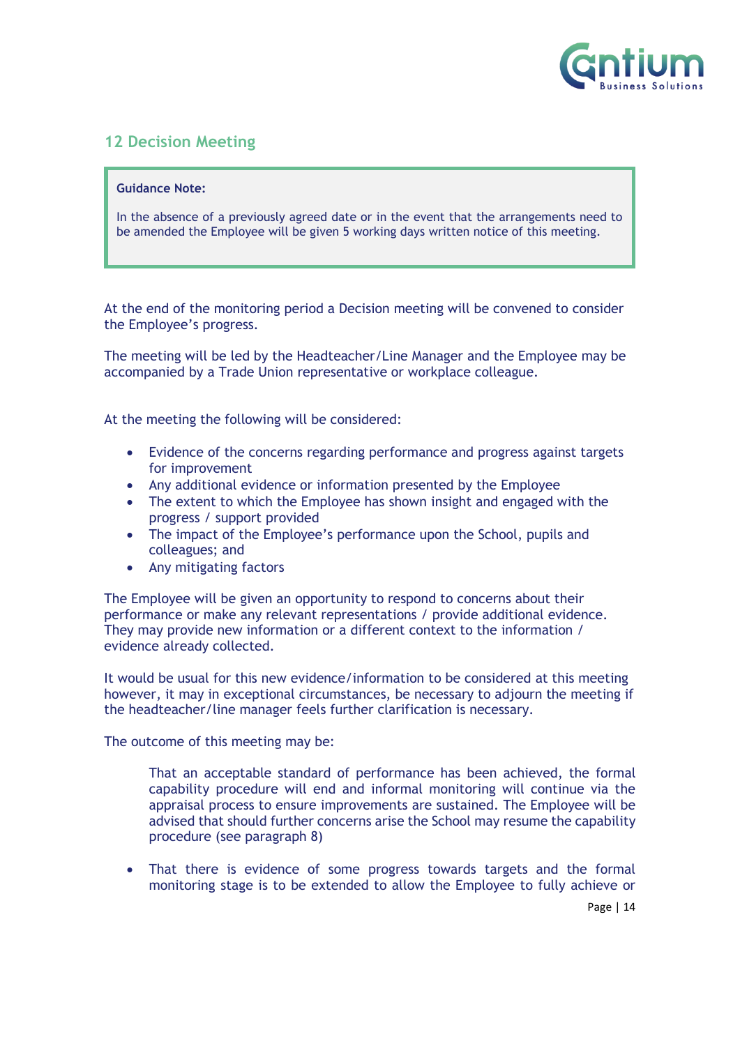

## <span id="page-13-0"></span>**12 Decision Meeting**

#### **Guidance Note:**

In the absence of a previously agreed date or in the event that the arrangements need to be amended the Employee will be given 5 working days written notice of this meeting.

At the end of the monitoring period a Decision meeting will be convened to consider the Employee's progress.

The meeting will be led by the Headteacher/Line Manager and the Employee may be accompanied by a Trade Union representative or workplace colleague.

At the meeting the following will be considered:

- Evidence of the concerns regarding performance and progress against targets for improvement
- Any additional evidence or information presented by the Employee
- The extent to which the Employee has shown insight and engaged with the progress / support provided
- The impact of the Employee's performance upon the School, pupils and colleagues; and
- Any mitigating factors

The Employee will be given an opportunity to respond to concerns about their performance or make any relevant representations / provide additional evidence. They may provide new information or a different context to the information / evidence already collected.

It would be usual for this new evidence/information to be considered at this meeting however, it may in exceptional circumstances, be necessary to adjourn the meeting if the headteacher/line manager feels further clarification is necessary.

The outcome of this meeting may be:

That an acceptable standard of performance has been achieved, the formal capability procedure will end and informal monitoring will continue via the appraisal process to ensure improvements are sustained. The Employee will be advised that should further concerns arise the School may resume the capability procedure (see paragraph 8)

That there is evidence of some progress towards targets and the formal monitoring stage is to be extended to allow the Employee to fully achieve or

Page | 14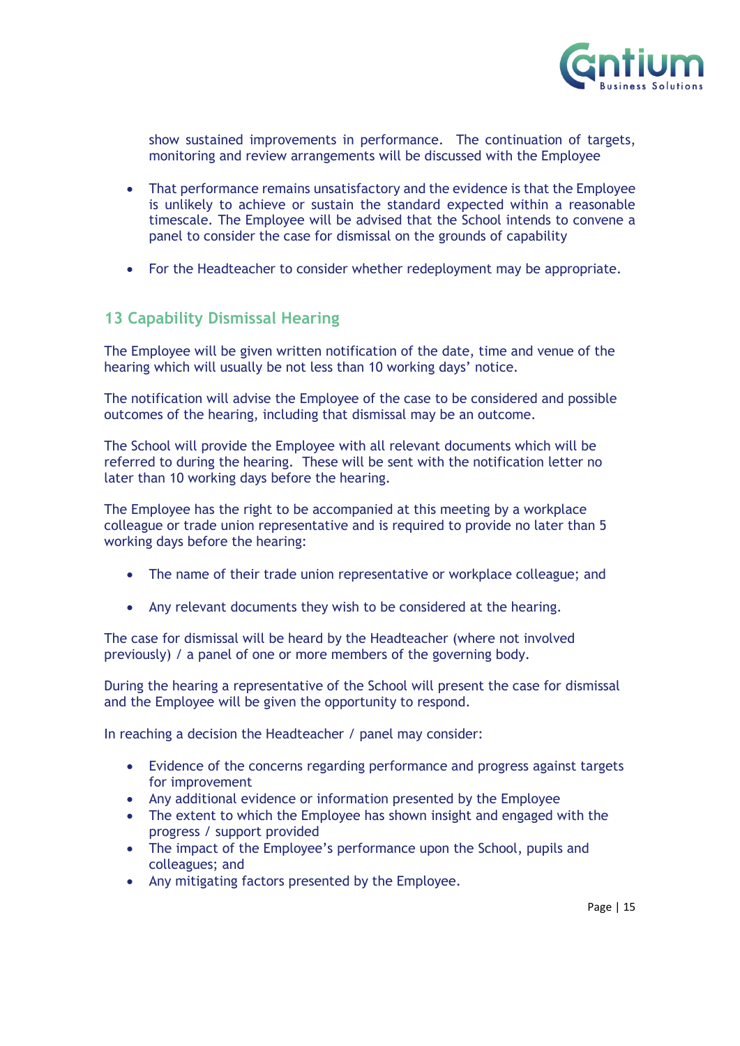

show sustained improvements in performance. The continuation of targets, monitoring and review arrangements will be discussed with the Employee

- That performance remains unsatisfactory and the evidence is that the Employee is unlikely to achieve or sustain the standard expected within a reasonable timescale. The Employee will be advised that the School intends to convene a panel to consider the case for dismissal on the grounds of capability
- For the Headteacher to consider whether redeployment may be appropriate.

## <span id="page-14-0"></span>**13 Capability Dismissal Hearing**

The Employee will be given written notification of the date, time and venue of the hearing which will usually be not less than 10 working days' notice.

The notification will advise the Employee of the case to be considered and possible outcomes of the hearing, including that dismissal may be an outcome.

The School will provide the Employee with all relevant documents which will be referred to during the hearing. These will be sent with the notification letter no later than 10 working days before the hearing.

The Employee has the right to be accompanied at this meeting by a workplace colleague or trade union representative and is required to provide no later than 5 working days before the hearing:

- The name of their trade union representative or workplace colleague; and
- Any relevant documents they wish to be considered at the hearing.

The case for dismissal will be heard by the Headteacher (where not involved previously) / a panel of one or more members of the governing body.

During the hearing a representative of the School will present the case for dismissal and the Employee will be given the opportunity to respond.

In reaching a decision the Headteacher / panel may consider:

- Evidence of the concerns regarding performance and progress against targets for improvement
- Any additional evidence or information presented by the Employee
- The extent to which the Employee has shown insight and engaged with the progress / support provided
- The impact of the Employee's performance upon the School, pupils and colleagues; and
- Any mitigating factors presented by the Employee.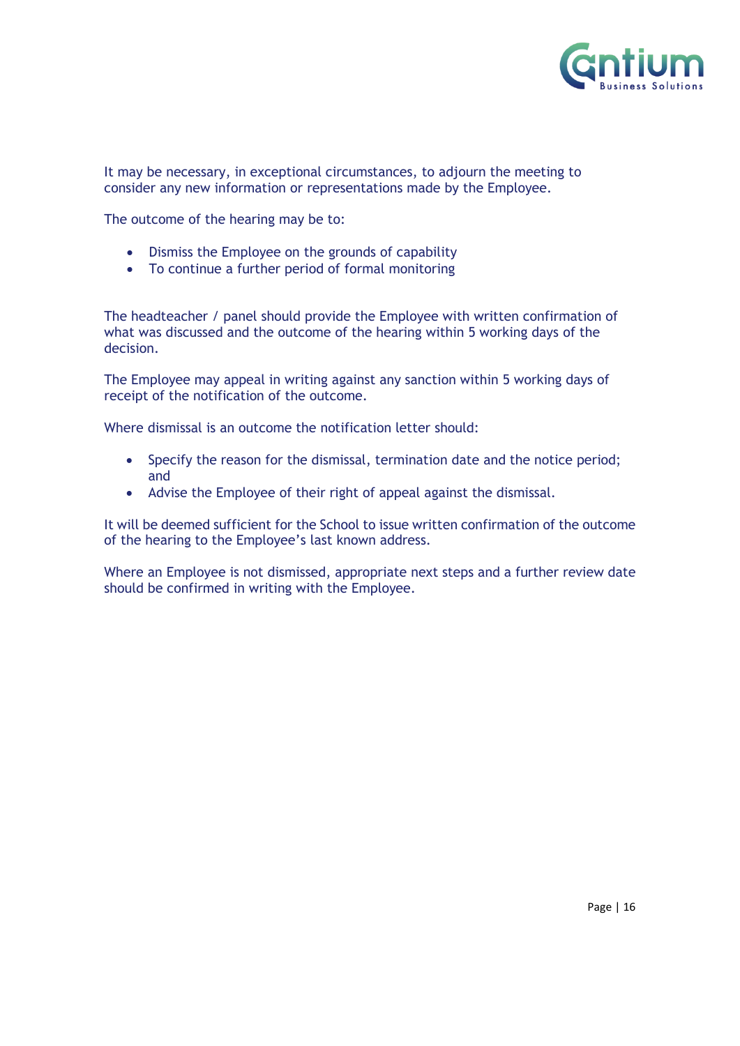

It may be necessary, in exceptional circumstances, to adjourn the meeting to consider any new information or representations made by the Employee.

The outcome of the hearing may be to:

- Dismiss the Employee on the grounds of capability
- To continue a further period of formal monitoring

The headteacher / panel should provide the Employee with written confirmation of what was discussed and the outcome of the hearing within 5 working days of the decision.

The Employee may appeal in writing against any sanction within 5 working days of receipt of the notification of the outcome.

Where dismissal is an outcome the notification letter should:

- Specify the reason for the dismissal, termination date and the notice period; and
- Advise the Employee of their right of appeal against the dismissal.

It will be deemed sufficient for the School to issue written confirmation of the outcome of the hearing to the Employee's last known address.

Where an Employee is not dismissed, appropriate next steps and a further review date should be confirmed in writing with the Employee.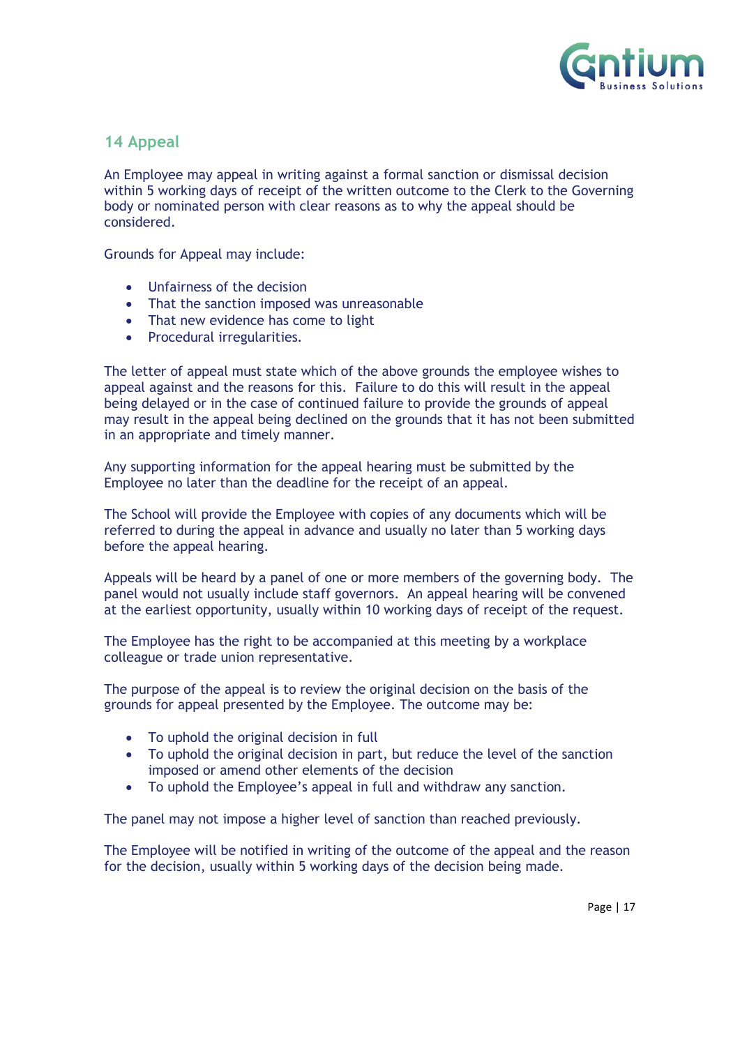

## <span id="page-16-0"></span>**14 Appeal**

An Employee may appeal in writing against a formal sanction or dismissal decision within 5 working days of receipt of the written outcome to the Clerk to the Governing body or nominated person with clear reasons as to why the appeal should be considered.

Grounds for Appeal may include:

- Unfairness of the decision
- That the sanction imposed was unreasonable
- That new evidence has come to light
- Procedural irregularities.

The letter of appeal must state which of the above grounds the employee wishes to appeal against and the reasons for this. Failure to do this will result in the appeal being delayed or in the case of continued failure to provide the grounds of appeal may result in the appeal being declined on the grounds that it has not been submitted in an appropriate and timely manner.

Any supporting information for the appeal hearing must be submitted by the Employee no later than the deadline for the receipt of an appeal.

The School will provide the Employee with copies of any documents which will be referred to during the appeal in advance and usually no later than 5 working days before the appeal hearing.

Appeals will be heard by a panel of one or more members of the governing body. The panel would not usually include staff governors. An appeal hearing will be convened at the earliest opportunity, usually within 10 working days of receipt of the request.

The Employee has the right to be accompanied at this meeting by a workplace colleague or trade union representative.

The purpose of the appeal is to review the original decision on the basis of the grounds for appeal presented by the Employee. The outcome may be:

- To uphold the original decision in full
- To uphold the original decision in part, but reduce the level of the sanction imposed or amend other elements of the decision
- To uphold the Employee's appeal in full and withdraw any sanction.

The panel may not impose a higher level of sanction than reached previously.

The Employee will be notified in writing of the outcome of the appeal and the reason for the decision, usually within 5 working days of the decision being made.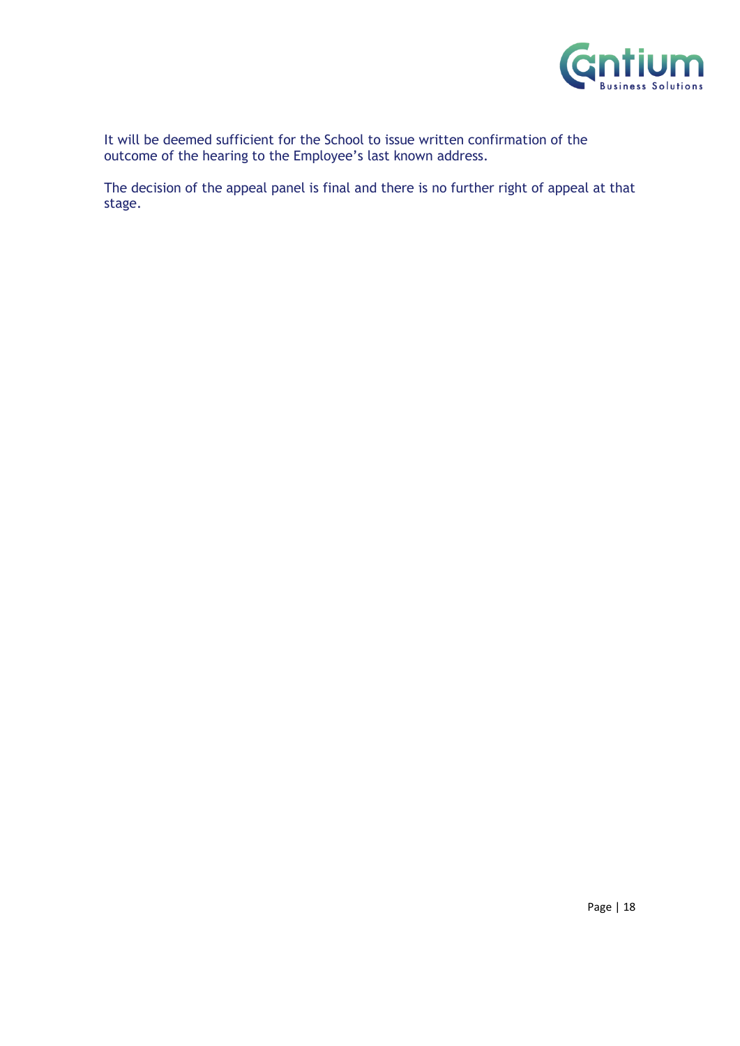

It will be deemed sufficient for the School to issue written confirmation of the outcome of the hearing to the Employee's last known address.

The decision of the appeal panel is final and there is no further right of appeal at that stage.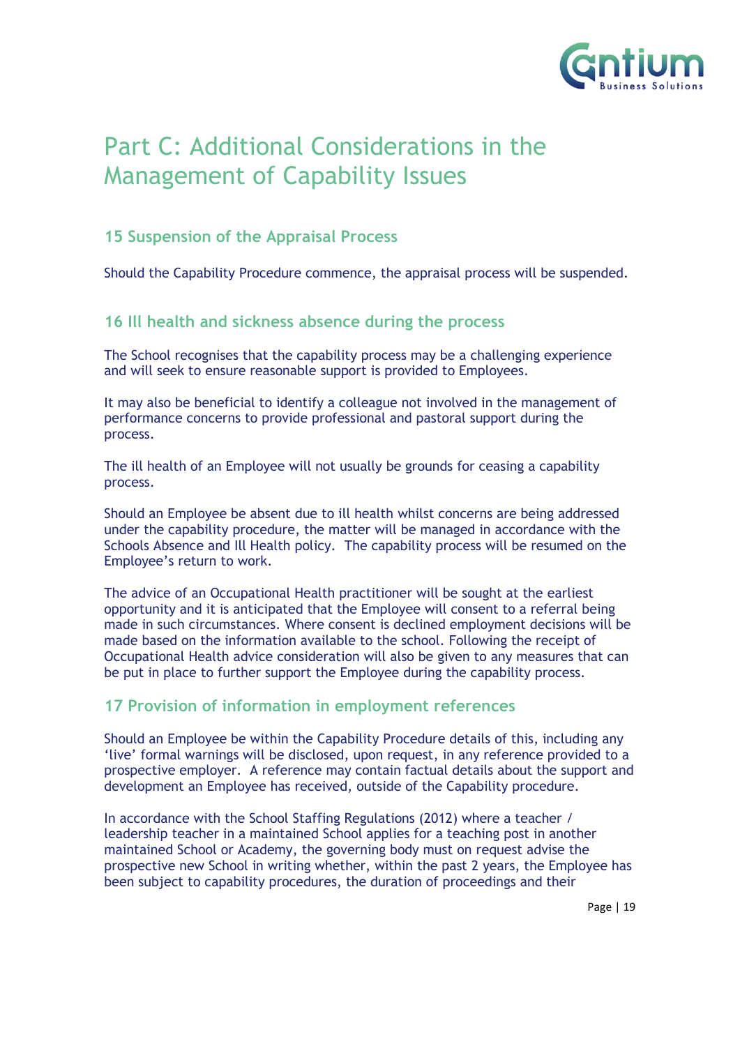

# <span id="page-18-0"></span>Part C: Additional Considerations in the Management of Capability Issues

## <span id="page-18-1"></span>**15 Suspension of the Appraisal Process**

Should the Capability Procedure commence, the appraisal process will be suspended.

## <span id="page-18-2"></span>**16 Ill health and sickness absence during the process**

The School recognises that the capability process may be a challenging experience and will seek to ensure reasonable support is provided to Employees.

It may also be beneficial to identify a colleague not involved in the management of performance concerns to provide professional and pastoral support during the process.

The ill health of an Employee will not usually be grounds for ceasing a capability process.

Should an Employee be absent due to ill health whilst concerns are being addressed under the capability procedure, the matter will be managed in accordance with the Schools Absence and Ill Health policy. The capability process will be resumed on the Employee's return to work.

The advice of an Occupational Health practitioner will be sought at the earliest opportunity and it is anticipated that the Employee will consent to a referral being made in such circumstances. Where consent is declined employment decisions will be made based on the information available to the school. Following the receipt of Occupational Health advice consideration will also be given to any measures that can be put in place to further support the Employee during the capability process.

### <span id="page-18-3"></span>**17 Provision of information in employment references**

Should an Employee be within the Capability Procedure details of this, including any 'live' formal warnings will be disclosed, upon request, in any reference provided to a prospective employer. A reference may contain factual details about the support and development an Employee has received, outside of the Capability procedure.

In accordance with the School Staffing Regulations (2012) where a teacher / leadership teacher in a maintained School applies for a teaching post in another maintained School or Academy, the governing body must on request advise the prospective new School in writing whether, within the past 2 years, the Employee has been subject to capability procedures, the duration of proceedings and their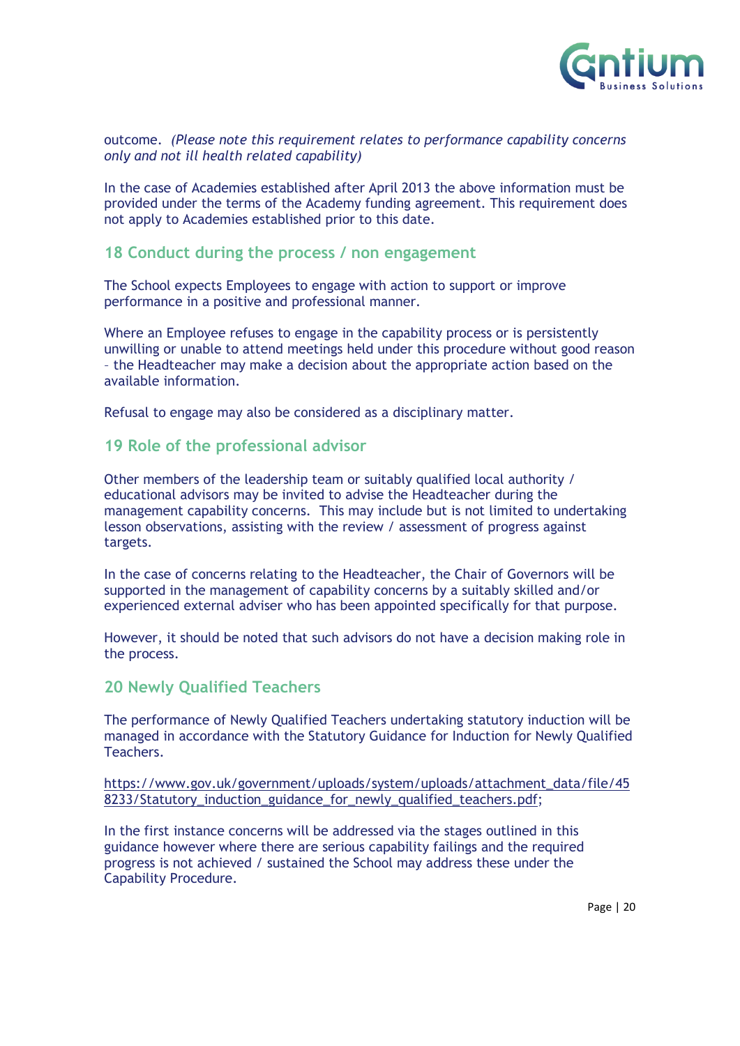

#### outcome. *(Please note this requirement relates to performance capability concerns only and not ill health related capability)*

In the case of Academies established after April 2013 the above information must be provided under the terms of the Academy funding agreement. This requirement does not apply to Academies established prior to this date.

#### <span id="page-19-0"></span>**18 Conduct during the process / non engagement**

The School expects Employees to engage with action to support or improve performance in a positive and professional manner.

Where an Employee refuses to engage in the capability process or is persistently unwilling or unable to attend meetings held under this procedure without good reason – the Headteacher may make a decision about the appropriate action based on the available information.

Refusal to engage may also be considered as a disciplinary matter.

#### <span id="page-19-1"></span>**19 Role of the professional advisor**

Other members of the leadership team or suitably qualified local authority / educational advisors may be invited to advise the Headteacher during the management capability concerns. This may include but is not limited to undertaking lesson observations, assisting with the review / assessment of progress against targets.

In the case of concerns relating to the Headteacher, the Chair of Governors will be supported in the management of capability concerns by a suitably skilled and/or experienced external adviser who has been appointed specifically for that purpose.

However, it should be noted that such advisors do not have a decision making role in the process.

#### <span id="page-19-2"></span>**20 Newly Qualified Teachers**

The performance of Newly Qualified Teachers undertaking statutory induction will be managed in accordance with the Statutory Guidance for Induction for Newly Qualified Teachers.

[https://www.gov.uk/government/uploads/system/uploads/attachment\\_data/file/45](https://www.gov.uk/government/uploads/system/uploads/attachment_data/file/458233/Statutory_induction_guidance_for_newly_qualified_teachers.pdf) [8233/Statutory\\_induction\\_guidance\\_for\\_newly\\_qualified\\_teachers.pdf;](https://www.gov.uk/government/uploads/system/uploads/attachment_data/file/458233/Statutory_induction_guidance_for_newly_qualified_teachers.pdf)

In the first instance concerns will be addressed via the stages outlined in this guidance however where there are serious capability failings and the required progress is not achieved / sustained the School may address these under the Capability Procedure.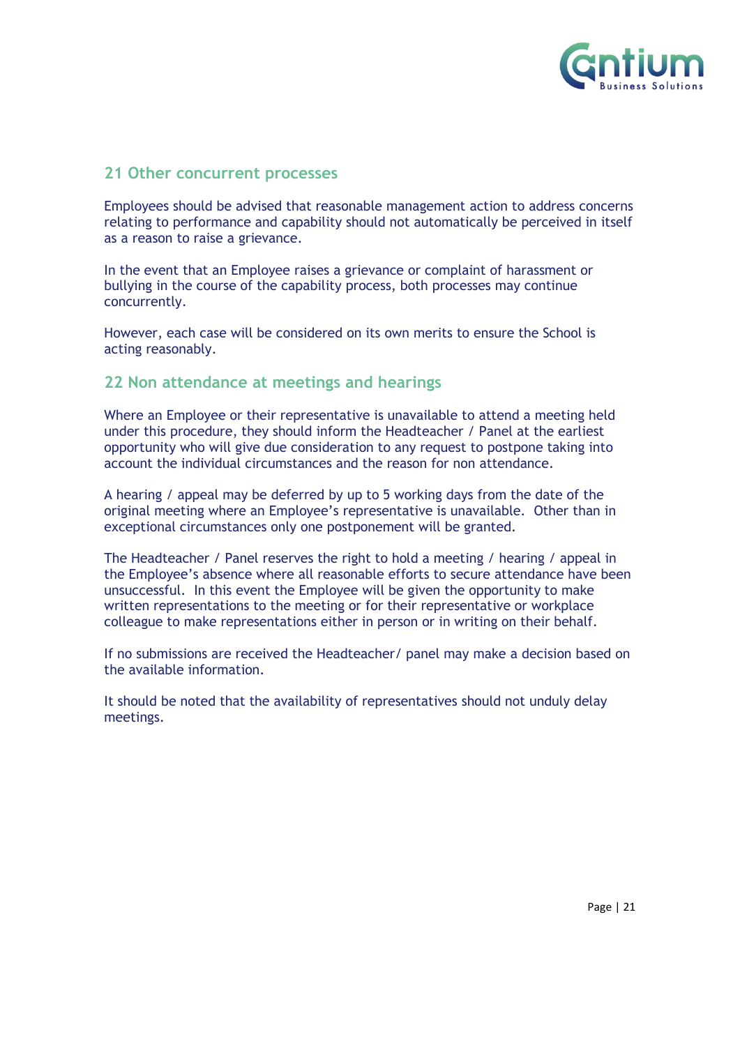

#### <span id="page-20-0"></span>**21 Other concurrent processes**

Employees should be advised that reasonable management action to address concerns relating to performance and capability should not automatically be perceived in itself as a reason to raise a grievance.

In the event that an Employee raises a grievance or complaint of harassment or bullying in the course of the capability process, both processes may continue concurrently.

However, each case will be considered on its own merits to ensure the School is acting reasonably.

#### <span id="page-20-1"></span>**22 Non attendance at meetings and hearings**

Where an Employee or their representative is unavailable to attend a meeting held under this procedure, they should inform the Headteacher / Panel at the earliest opportunity who will give due consideration to any request to postpone taking into account the individual circumstances and the reason for non attendance.

A hearing / appeal may be deferred by up to 5 working days from the date of the original meeting where an Employee's representative is unavailable. Other than in exceptional circumstances only one postponement will be granted.

The Headteacher / Panel reserves the right to hold a meeting / hearing / appeal in the Employee's absence where all reasonable efforts to secure attendance have been unsuccessful. In this event the Employee will be given the opportunity to make written representations to the meeting or for their representative or workplace colleague to make representations either in person or in writing on their behalf.

If no submissions are received the Headteacher/ panel may make a decision based on the available information.

It should be noted that the availability of representatives should not unduly delay meetings.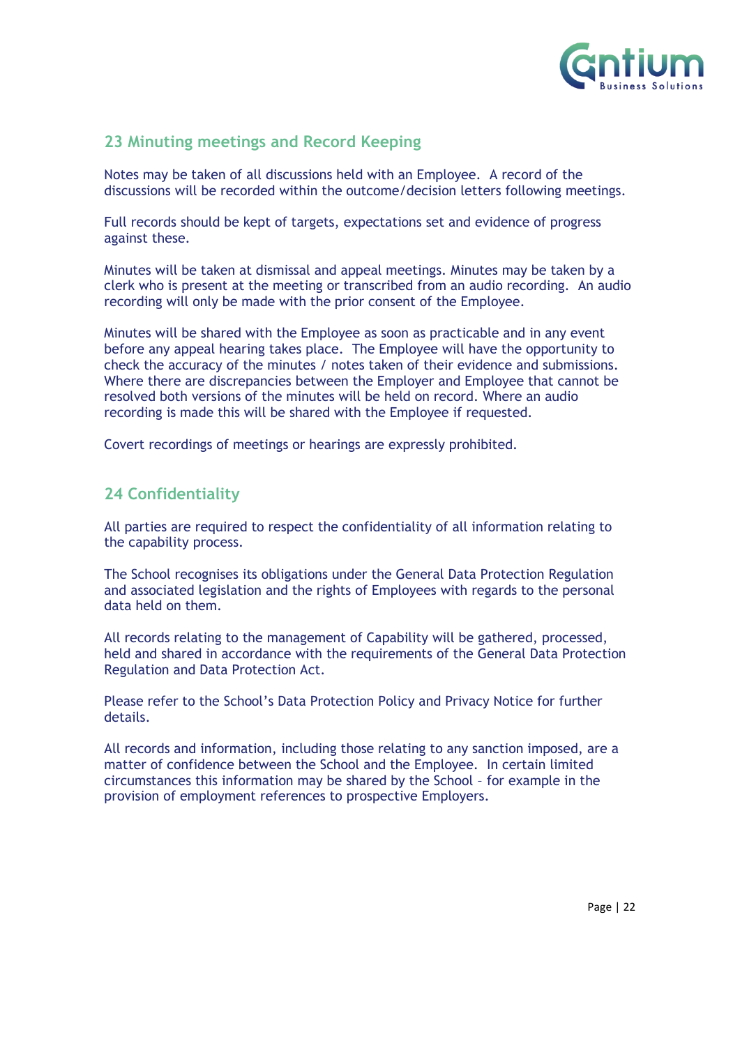

## <span id="page-21-0"></span>**23 Minuting meetings and Record Keeping**

Notes may be taken of all discussions held with an Employee. A record of the discussions will be recorded within the outcome/decision letters following meetings.

Full records should be kept of targets, expectations set and evidence of progress against these.

Minutes will be taken at dismissal and appeal meetings. Minutes may be taken by a clerk who is present at the meeting or transcribed from an audio recording. An audio recording will only be made with the prior consent of the Employee.

Minutes will be shared with the Employee as soon as practicable and in any event before any appeal hearing takes place. The Employee will have the opportunity to check the accuracy of the minutes / notes taken of their evidence and submissions. Where there are discrepancies between the Employer and Employee that cannot be resolved both versions of the minutes will be held on record. Where an audio recording is made this will be shared with the Employee if requested.

Covert recordings of meetings or hearings are expressly prohibited.

## <span id="page-21-1"></span>**24 Confidentiality**

All parties are required to respect the confidentiality of all information relating to the capability process.

The School recognises its obligations under the General Data Protection Regulation and associated legislation and the rights of Employees with regards to the personal data held on them.

All records relating to the management of Capability will be gathered, processed, held and shared in accordance with the requirements of the General Data Protection Regulation and Data Protection Act.

Please refer to the School's Data Protection Policy and Privacy Notice for further details.

All records and information, including those relating to any sanction imposed, are a matter of confidence between the School and the Employee. In certain limited circumstances this information may be shared by the School – for example in the provision of employment references to prospective Employers.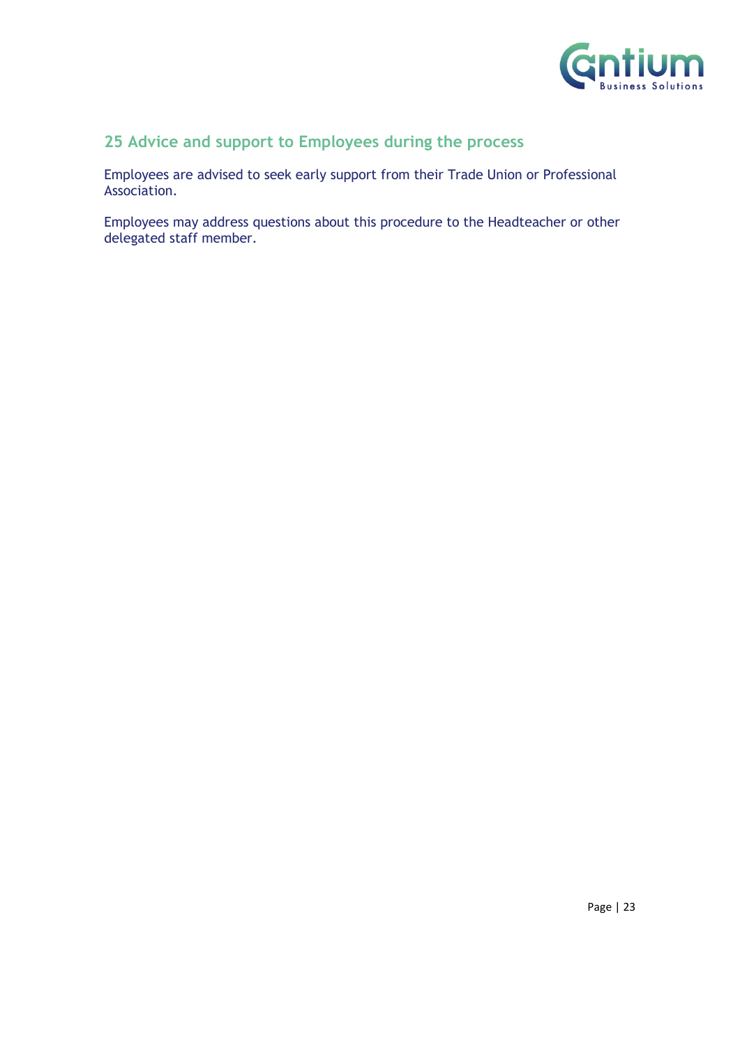

## **25 Advice and support to Employees during the process**

Employees are advised to seek early support from their Trade Union or Professional Association.

Employees may address questions about this procedure to the Headteacher or other delegated staff member.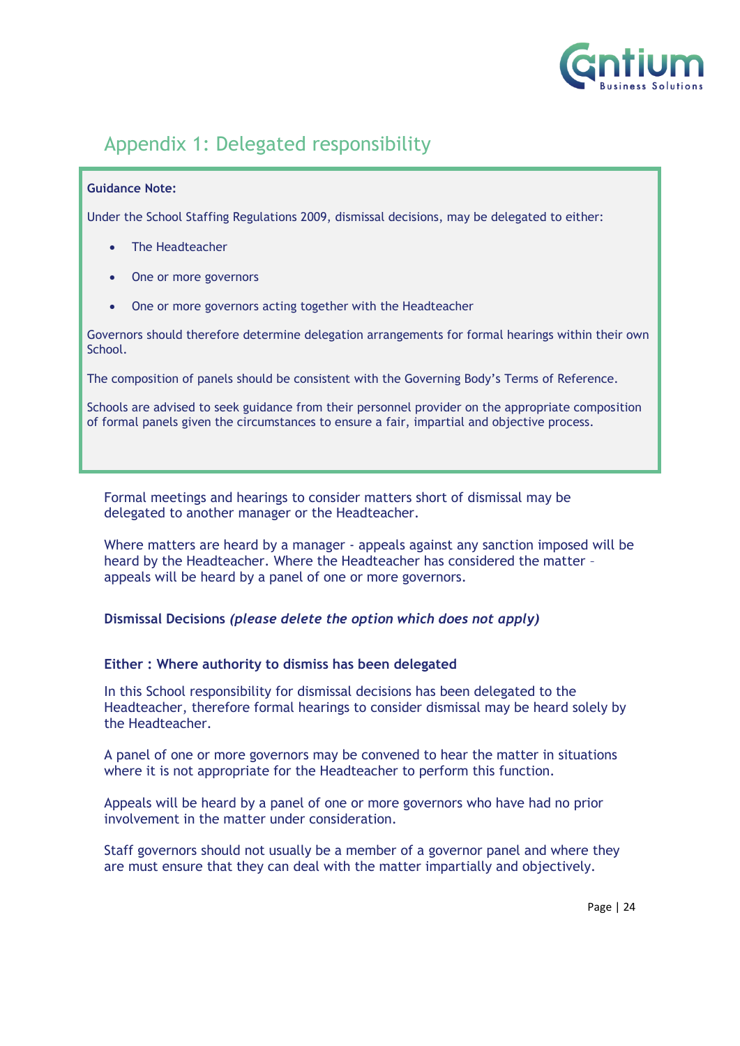

## <span id="page-23-0"></span>Appendix 1: Delegated responsibility

#### **Guidance Note:**

Under the School Staffing Regulations 2009, dismissal decisions, may be delegated to either:

- The Headteacher
- One or more governors
- One or more governors acting together with the Headteacher

Governors should therefore determine delegation arrangements for formal hearings within their own School.

The composition of panels should be consistent with the Governing Body's Terms of Reference.

Schools are advised to seek guidance from their personnel provider on the appropriate composition of formal panels given the circumstances to ensure a fair, impartial and objective process.

Formal meetings and hearings to consider matters short of dismissal may be delegated to another manager or the Headteacher.

Where matters are heard by a manager - appeals against any sanction imposed will be heard by the Headteacher. Where the Headteacher has considered the matter – appeals will be heard by a panel of one or more governors.

**Dismissal Decisions** *(please delete the option which does not apply)*

#### **Either : Where authority to dismiss has been delegated**

In this School responsibility for dismissal decisions has been delegated to the Headteacher, therefore formal hearings to consider dismissal may be heard solely by the Headteacher.

A panel of one or more governors may be convened to hear the matter in situations where it is not appropriate for the Headteacher to perform this function.

Appeals will be heard by a panel of one or more governors who have had no prior involvement in the matter under consideration.

Staff governors should not usually be a member of a governor panel and where they are must ensure that they can deal with the matter impartially and objectively.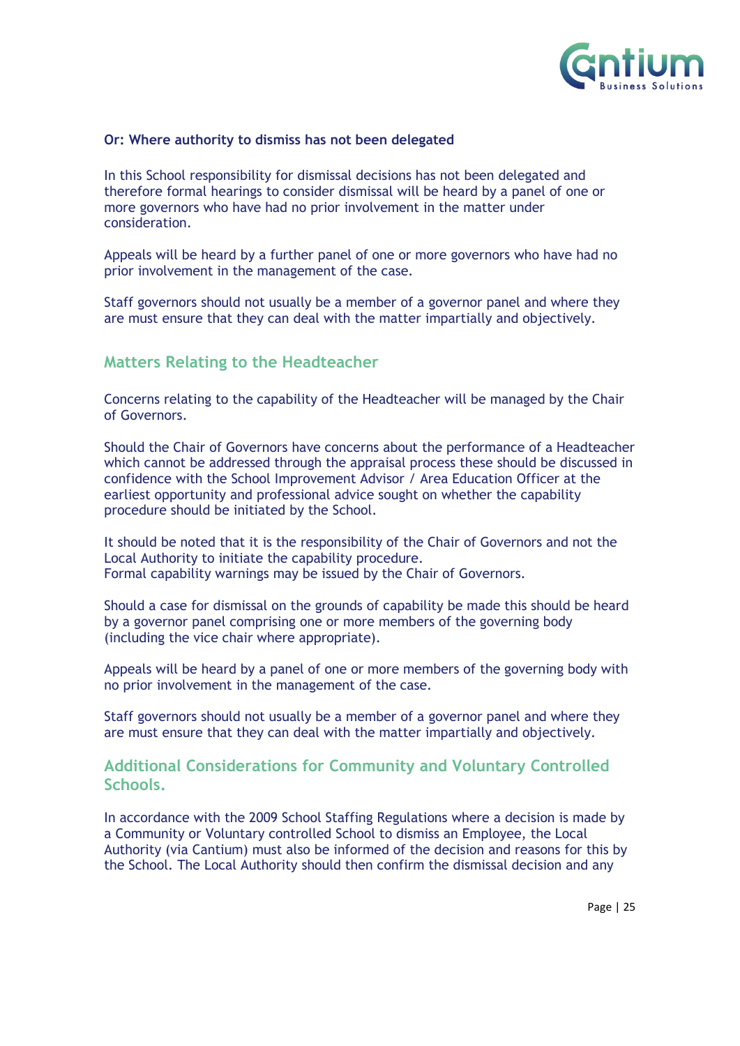

#### **Or: Where authority to dismiss has not been delegated**

In this School responsibility for dismissal decisions has not been delegated and therefore formal hearings to consider dismissal will be heard by a panel of one or more governors who have had no prior involvement in the matter under consideration.

Appeals will be heard by a further panel of one or more governors who have had no prior involvement in the management of the case.

Staff governors should not usually be a member of a governor panel and where they are must ensure that they can deal with the matter impartially and objectively.

#### **Matters Relating to the Headteacher**

Concerns relating to the capability of the Headteacher will be managed by the Chair of Governors.

Should the Chair of Governors have concerns about the performance of a Headteacher which cannot be addressed through the appraisal process these should be discussed in confidence with the School Improvement Advisor / Area Education Officer at the earliest opportunity and professional advice sought on whether the capability procedure should be initiated by the School.

It should be noted that it is the responsibility of the Chair of Governors and not the Local Authority to initiate the capability procedure. Formal capability warnings may be issued by the Chair of Governors.

Should a case for dismissal on the grounds of capability be made this should be heard by a governor panel comprising one or more members of the governing body (including the vice chair where appropriate).

Appeals will be heard by a panel of one or more members of the governing body with no prior involvement in the management of the case.

Staff governors should not usually be a member of a governor panel and where they are must ensure that they can deal with the matter impartially and objectively.

#### **Additional Considerations for Community and Voluntary Controlled Schools.**

In accordance with the 2009 School Staffing Regulations where a decision is made by a Community or Voluntary controlled School to dismiss an Employee, the Local Authority (via Cantium) must also be informed of the decision and reasons for this by the School. The Local Authority should then confirm the dismissal decision and any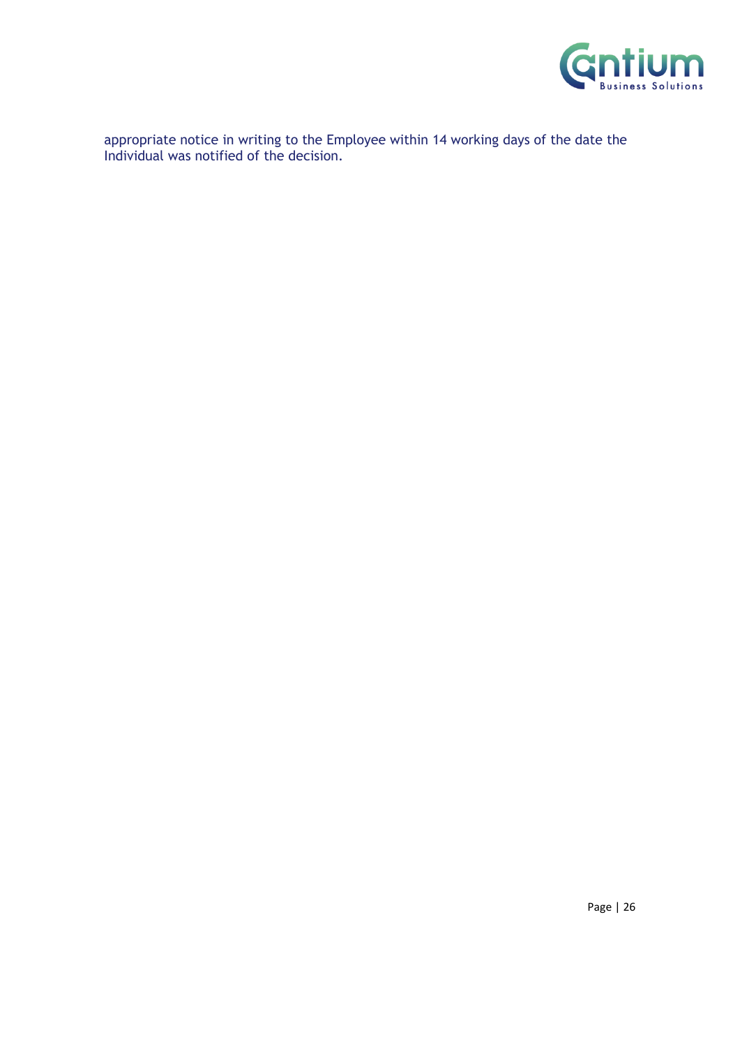

appropriate notice in writing to the Employee within 14 working days of the date the Individual was notified of the decision.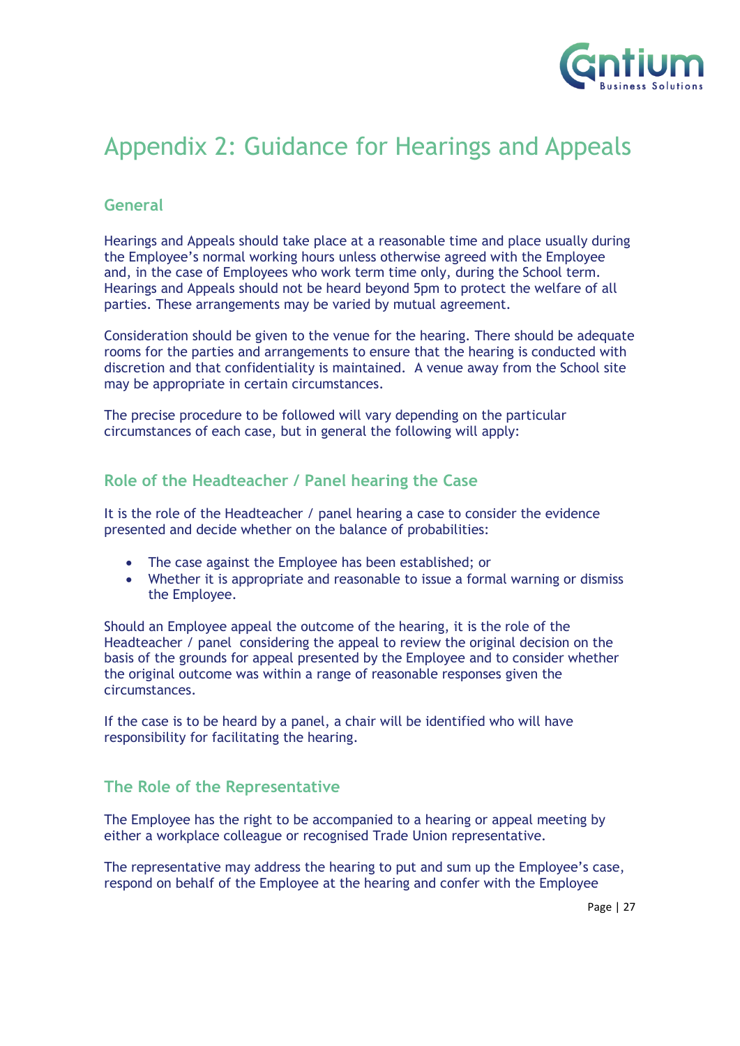

## <span id="page-26-0"></span>Appendix 2: Guidance for Hearings and Appeals

### **General**

Hearings and Appeals should take place at a reasonable time and place usually during the Employee's normal working hours unless otherwise agreed with the Employee and, in the case of Employees who work term time only, during the School term. Hearings and Appeals should not be heard beyond 5pm to protect the welfare of all parties. These arrangements may be varied by mutual agreement.

Consideration should be given to the venue for the hearing. There should be adequate rooms for the parties and arrangements to ensure that the hearing is conducted with discretion and that confidentiality is maintained. A venue away from the School site may be appropriate in certain circumstances.

The precise procedure to be followed will vary depending on the particular circumstances of each case, but in general the following will apply:

### **Role of the Headteacher / Panel hearing the Case**

It is the role of the Headteacher / panel hearing a case to consider the evidence presented and decide whether on the balance of probabilities:

- The case against the Employee has been established; or
- Whether it is appropriate and reasonable to issue a formal warning or dismiss the Employee.

Should an Employee appeal the outcome of the hearing, it is the role of the Headteacher / panel considering the appeal to review the original decision on the basis of the grounds for appeal presented by the Employee and to consider whether the original outcome was within a range of reasonable responses given the circumstances.

If the case is to be heard by a panel, a chair will be identified who will have responsibility for facilitating the hearing.

### **The Role of the Representative**

The Employee has the right to be accompanied to a hearing or appeal meeting by either a workplace colleague or recognised Trade Union representative.

The representative may address the hearing to put and sum up the Employee's case, respond on behalf of the Employee at the hearing and confer with the Employee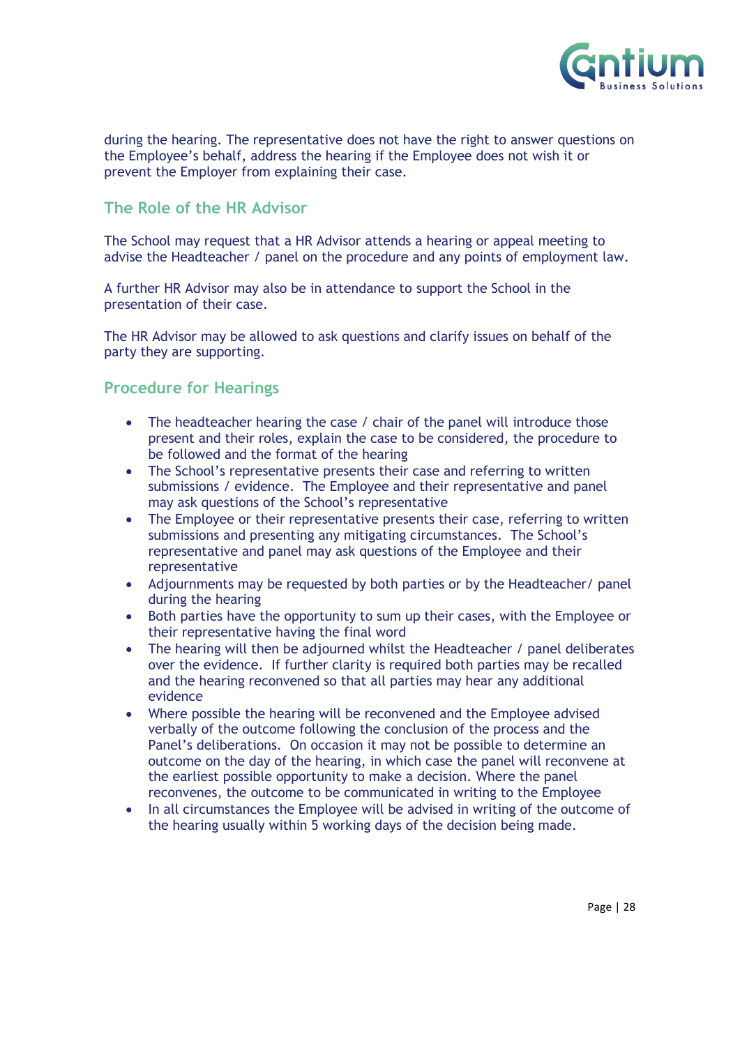

during the hearing. The representative does not have the right to answer questions on the Employee's behalf, address the hearing if the Employee does not wish it or prevent the Employer from explaining their case.

## **The Role of the HR Advisor**

The School may request that a HR Advisor attends a hearing or appeal meeting to advise the Headteacher / panel on the procedure and any points of employment law.

A further HR Advisor may also be in attendance to support the School in the presentation of their case.

The HR Advisor may be allowed to ask questions and clarify issues on behalf of the party they are supporting.

#### **Procedure for Hearings**

- The headteacher hearing the case / chair of the panel will introduce those present and their roles, explain the case to be considered, the procedure to be followed and the format of the hearing
- The School's representative presents their case and referring to written submissions / evidence. The Employee and their representative and panel may ask questions of the School's representative
- The Employee or their representative presents their case, referring to written submissions and presenting any mitigating circumstances. The School's representative and panel may ask questions of the Employee and their representative
- Adjournments may be requested by both parties or by the Headteacher/ panel during the hearing
- Both parties have the opportunity to sum up their cases, with the Employee or their representative having the final word
- The hearing will then be adjourned whilst the Headteacher / panel deliberates over the evidence. If further clarity is required both parties may be recalled and the hearing reconvened so that all parties may hear any additional evidence
- Where possible the hearing will be reconvened and the Employee advised verbally of the outcome following the conclusion of the process and the Panel's deliberations. On occasion it may not be possible to determine an outcome on the day of the hearing, in which case the panel will reconvene at the earliest possible opportunity to make a decision. Where the panel reconvenes, the outcome to be communicated in writing to the Employee
- In all circumstances the Employee will be advised in writing of the outcome of the hearing usually within 5 working days of the decision being made.